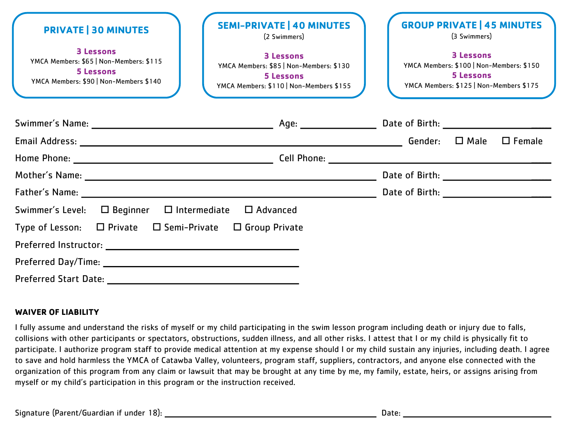| <b>PRIVATE   30 MINUTES</b><br><b>3 Lessons</b><br>YMCA Members: \$65   Non-Members: \$115<br>5 Lessons<br>YMCA Members: \$90   Non-Members \$140 | <b>SEMI-PRIVATE   40 MINUTES</b><br>(2 Swimmers)<br><b>3 Lessons</b><br>YMCA Members: \$85   Non-Members: \$130<br><b>5 Lessons</b><br>YMCA Members: \$110   Non-Members \$155 | <b>GROUP PRIVATE   45 MINUTES</b><br>(3 Swimmers)<br><b>3 Lessons</b><br>YMCA Members: \$100   Non-Members: \$150<br><b>5 Lessons</b><br>YMCA Members: \$125   Non-Members \$175 |  |                  |
|---------------------------------------------------------------------------------------------------------------------------------------------------|--------------------------------------------------------------------------------------------------------------------------------------------------------------------------------|----------------------------------------------------------------------------------------------------------------------------------------------------------------------------------|--|------------------|
|                                                                                                                                                   |                                                                                                                                                                                |                                                                                                                                                                                  |  |                  |
|                                                                                                                                                   |                                                                                                                                                                                |                                                                                                                                                                                  |  | $\square$ Female |
|                                                                                                                                                   |                                                                                                                                                                                |                                                                                                                                                                                  |  |                  |
|                                                                                                                                                   |                                                                                                                                                                                |                                                                                                                                                                                  |  |                  |
|                                                                                                                                                   |                                                                                                                                                                                |                                                                                                                                                                                  |  |                  |
| Swimmer's Level:                                                                                                                                  | $\Box$ Beginner $\Box$ Intermediate<br>$\Box$ Advanced                                                                                                                         |                                                                                                                                                                                  |  |                  |
| Type of Lesson: $\Box$ Private $\Box$ Semi-Private                                                                                                | $\Box$ Group Private                                                                                                                                                           |                                                                                                                                                                                  |  |                  |
|                                                                                                                                                   |                                                                                                                                                                                |                                                                                                                                                                                  |  |                  |
|                                                                                                                                                   |                                                                                                                                                                                |                                                                                                                                                                                  |  |                  |
| <b>Preferred Start Date:</b>                                                                                                                      |                                                                                                                                                                                |                                                                                                                                                                                  |  |                  |

## **WAIVER OF LIABILITY**

I fully assume and understand the risks of myself or my child participating in the swim lesson program including death or injury due to falls, collisions with other participants or spectators, obstructions, sudden illness, and all other risks. I attest that I or my child is physically fit to participate. I authorize program staff to provide medical attention at my expense should I or my child sustain any injuries, including death. I agree to save and hold harmless the YMCA of Catawba Valley, volunteers, program staff, suppliers, contractors, and anyone else connected with the organization of this program from any claim or lawsuit that may be brought at any time by me, my family, estate, heirs, or assigns arising from myself or my child's participation in this program or the instruction received.

Signature (Parent/Guardian if under 18): Date: \_\_\_\_\_\_\_